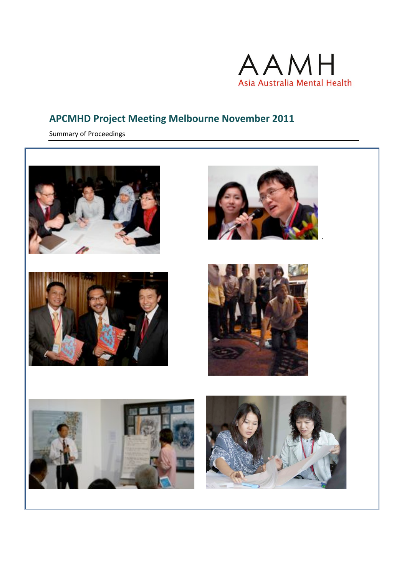

# **APCMHD Project Meeting Melbourne November 2011**

Summary of Proceedings

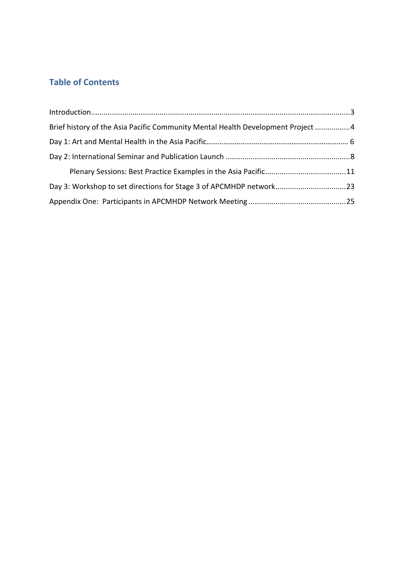## **Table of Contents**

| Brief history of the Asia Pacific Community Mental Health Development Project 4 |  |
|---------------------------------------------------------------------------------|--|
|                                                                                 |  |
|                                                                                 |  |
|                                                                                 |  |
|                                                                                 |  |
|                                                                                 |  |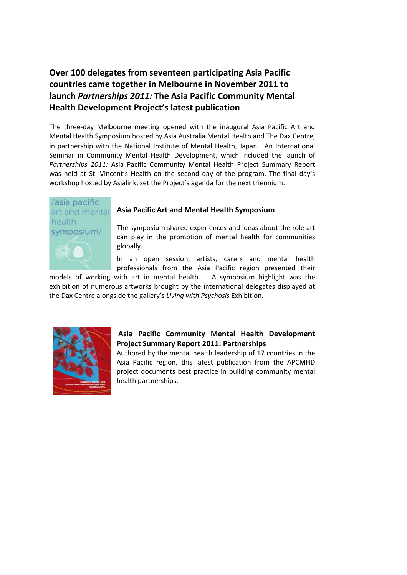## Over 100 delegates from seventeen participating Asia Pacific countries came together in Melbourne in November 2011 to launch Partnerships 2011: The Asia Pacific Community Mental **Health Development Project's latest publication**

The three-day Melbourne meeting opened with the inaugural Asia Pacific Art and Mental Health Symposium hosted by Asia Australia Mental Health and The Dax Centre, in partnership with the National Institute of Mental Health, Japan. An International Seminar in Community Mental Health Development, which included the launch of Partnerships 2011: Asia Pacific Community Mental Health Project Summary Report was held at St. Vincent's Health on the second day of the program. The final day's workshop hosted by Asialink, set the Project's agenda for the next triennium.



#### Asia Pacific Art and Mental Health Symposium

The symposium shared experiences and ideas about the role art can play in the promotion of mental health for communities globally.

In an open session, artists, carers and mental health professionals from the Asia Pacific region presented their

A symposium highlight was the models of working with art in mental health. exhibition of numerous artworks brought by the international delegates displayed at the Dax Centre alongside the gallery's Living with Psychosis Exhibition.



#### Asia Pacific Community Mental Health Development **Project Summary Report 2011: Partnerships**

Authored by the mental health leadership of 17 countries in the Asia Pacific region, this latest publication from the APCMHD project documents best practice in building community mental health partnerships.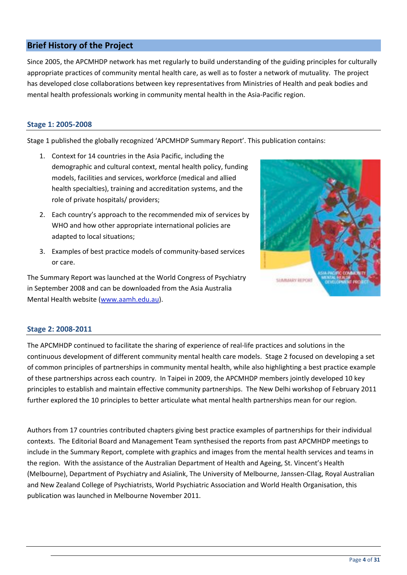### **Brief History of the Project**

Since 2005, the APCMHDP network has met regularly to build understanding of the guiding principles for culturally appropriate practices of community mental health care, as well as to foster a network of mutuality. The project has developed close collaborations between key representatives from Ministries of Health and peak bodies and mental health professionals working in community mental health in the Asia-Pacific region.

#### Stage 1: 2005-2008

Stage 1 published the globally recognized 'APCMHDP Summary Report'. This publication contains:

- 1. Context for 14 countries in the Asia Pacific, including the demographic and cultural context, mental health policy, funding models, facilities and services, workforce (medical and allied health specialties), training and accreditation systems, and the role of private hospitals/ providers;
- 2. Each country's approach to the recommended mix of services by WHO and how other appropriate international policies are adapted to local situations;
- 3. Examples of best practice models of community-based services or care.

The Summary Report was launched at the World Congress of Psychiatry in September 2008 and can be downloaded from the Asia Australia Mental Health website (www.aamh.edu.au).



#### Stage 2: 2008-2011

The APCMHDP continued to facilitate the sharing of experience of real-life practices and solutions in the continuous development of different community mental health care models. Stage 2 focused on developing a set of common principles of partnerships in community mental health, while also highlighting a best practice example of these partnerships across each country. In Taipei in 2009, the APCMHDP members jointly developed 10 key principles to establish and maintain effective community partnerships. The New Delhi workshop of February 2011 further explored the 10 principles to better articulate what mental health partnerships mean for our region.

Authors from 17 countries contributed chapters giving best practice examples of partnerships for their individual contexts. The Editorial Board and Management Team synthesised the reports from past APCMHDP meetings to include in the Summary Report, complete with graphics and images from the mental health services and teams in the region. With the assistance of the Australian Department of Health and Ageing, St. Vincent's Health (Melbourne), Department of Psychiatry and Asialink, The University of Melbourne, Janssen-Cllag, Royal Australian and New Zealand College of Psychiatrists, World Psychiatric Association and World Health Organisation, this publication was launched in Melbourne November 2011.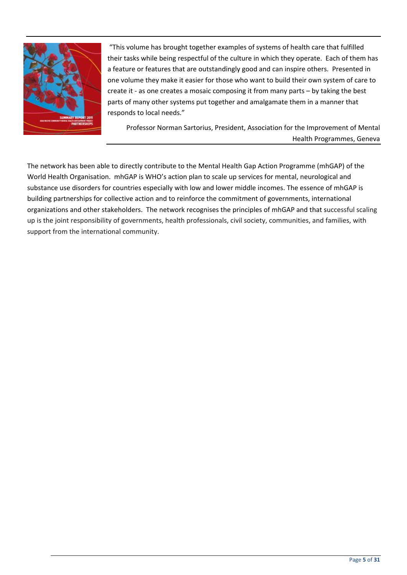

"This volume has brought together examples of systems of health care that fulfilled their tasks while being respectful of the culture in which they operate. Each of them has a feature or features that are outstandingly good and can inspire others. Presented in one volume they make it easier for those who want to build their own system of care to create it - as one creates a mosaic composing it from many parts - by taking the best parts of many other systems put together and amalgamate them in a manner that responds to local needs."

Professor Norman Sartorius, President, Association for the Improvement of Mental Health Programmes, Geneva

The network has been able to directly contribute to the Mental Health Gap Action Programme (mhGAP) of the World Health Organisation. mhGAP is WHO's action plan to scale up services for mental, neurological and substance use disorders for countries especially with low and lower middle incomes. The essence of mhGAP is building partnerships for collective action and to reinforce the commitment of governments, international organizations and other stakeholders. The network recognises the principles of mhGAP and that successful scaling up is the joint responsibility of governments, health professionals, civil society, communities, and families, with support from the international community.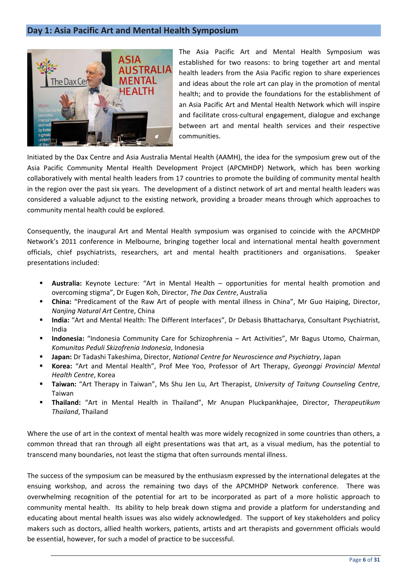### Day 1: Asia Pacific Art and Mental Health Symposium



The Asia Pacific Art and Mental Health Symposium was established for two reasons: to bring together art and mental health leaders from the Asia Pacific region to share experiences and ideas about the role art can play in the promotion of mental health: and to provide the foundations for the establishment of an Asia Pacific Art and Mental Health Network which will inspire and facilitate cross-cultural engagement, dialogue and exchange between art and mental health services and their respective communities.

Initiated by the Dax Centre and Asia Australia Mental Health (AAMH), the idea for the symposium grew out of the Asia Pacific Community Mental Health Development Project (APCMHDP) Network, which has been working collaboratively with mental health leaders from 17 countries to promote the building of community mental health in the region over the past six years. The development of a distinct network of art and mental health leaders was considered a valuable adjunct to the existing network, providing a broader means through which approaches to community mental health could be explored.

Consequently, the inaugural Art and Mental Health symposium was organised to coincide with the APCMHDP Network's 2011 conference in Melbourne, bringing together local and international mental health government officials, chief psychiatrists, researchers, art and mental health practitioners and organisations. Speaker presentations included:

- **Australia:** Keynote Lecture: "Art in Mental Health opportunities for mental health promotion and overcoming stigma", Dr Eugen Koh, Director, The Dax Centre, Australia
- " China: "Predicament of the Raw Art of people with mental illness in China", Mr Guo Haiping, Director, Nanjing Natural Art Centre, China
- India: "Art and Mental Health: The Different Interfaces", Dr Debasis Bhattacharya, Consultant Psychiatrist,  $\mathbf{u}$  . India
- $\blacksquare$ Indonesia: "Indonesia Community Care for Schizophrenia - Art Activities", Mr Bagus Utomo, Chairman, Komunitas Peduli Skizofrenia Indonesia, Indonesia
- Japan: Dr Tadashi Takeshima, Director, National Centre for Neuroscience and Psychiatry, Japan
- **E** Korea: "Art and Mental Health", Prof Mee Yoo, Professor of Art Therapy, Gyeonggi Provincial Mental Health Centre, Korea
- $\blacksquare$ Taiwan: "Art Therapy in Taiwan", Ms Shu Jen Lu, Art Therapist, University of Taitung Counseling Centre, Taiwan
- Thailand: "Art in Mental Health in Thailand", Mr Anupan Pluckpankhajee, Director, Therapeutikum  $\blacksquare$ Thailand, Thailand

Where the use of art in the context of mental health was more widely recognized in some countries than others, a common thread that ran through all eight presentations was that art, as a visual medium, has the potential to transcend many boundaries, not least the stigma that often surrounds mental illness.

The success of the symposium can be measured by the enthusiasm expressed by the international delegates at the ensuing workshop, and across the remaining two days of the APCMHDP Network conference. There was overwhelming recognition of the potential for art to be incorporated as part of a more holistic approach to community mental health. Its ability to help break down stigma and provide a platform for understanding and educating about mental health issues was also widely acknowledged. The support of key stakeholders and policy makers such as doctors, allied health workers, patients, artists and art therapists and government officials would be essential, however, for such a model of practice to be successful.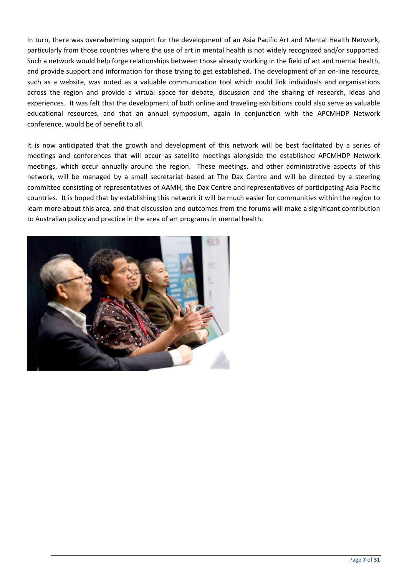In turn, there was overwhelming support for the development of an Asia Pacific Art and Mental Health Network, particularly from those countries where the use of art in mental health is not widely recognized and/or supported. Such a network would help forge relationships between those already working in the field of art and mental health, and provide support and information for those trying to get established. The development of an on-line resource, such as a website, was noted as a valuable communication tool which could link individuals and organisations across the region and provide a virtual space for debate, discussion and the sharing of research, ideas and experiences. It was felt that the development of both online and traveling exhibitions could also serve as valuable educational resources, and that an annual symposium, again in conjunction with the APCMHDP Network conference, would be of benefit to all.

It is now anticipated that the growth and development of this network will be best facilitated by a series of meetings and conferences that will occur as satellite meetings alongside the established APCMHDP Network meetings, which occur annually around the region. These meetings, and other administrative aspects of this network, will be managed by a small secretariat based at The Dax Centre and will be directed by a steering committee consisting of representatives of AAMH, the Dax Centre and representatives of participating Asia Pacific countries. It is hoped that by establishing this network it will be much easier for communities within the region to learn more about this area, and that discussion and outcomes from the forums will make a significant contribution to Australian policy and practice in the area of art programs in mental health.

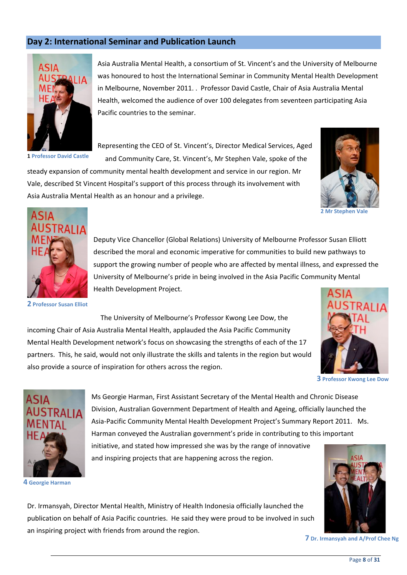## Day 2: International Seminar and Publication Launch



1 Professor David Castle

Asia Australia Mental Health, a consortium of St. Vincent's and the University of Melbourne was honoured to host the International Seminar in Community Mental Health Development in Melbourne, November 2011. . Professor David Castle, Chair of Asia Australia Mental Health, welcomed the audience of over 100 delegates from seventeen participating Asia Pacific countries to the seminar.

Representing the CEO of St. Vincent's, Director Medical Services, Aged and Community Care, St. Vincent's, Mr Stephen Vale, spoke of the

steady expansion of community mental health development and service in our region. Mr Vale, described St Vincent Hospital's support of this process through its involvement with Asia Australia Mental Health as an honour and a privilege.



2 Mr Stephen Vale



**2 Professor Susan Elliot** 

Deputy Vice Chancellor (Global Relations) University of Melbourne Professor Susan Elliott described the moral and economic imperative for communities to build new pathways to support the growing number of people who are affected by mental illness, and expressed the University of Melbourne's pride in being involved in the Asia Pacific Community Mental Health Development Project.

The University of Melbourne's Professor Kwong Lee Dow, the incoming Chair of Asia Australia Mental Health, applauded the Asia Pacific Community Mental Health Development network's focus on showcasing the strengths of each of the 17 partners. This, he said, would not only illustrate the skills and talents in the region but would also provide a source of inspiration for others across the region.



**3 Professor Kwong Lee Dow** 



4 Georgie Harman

Ms Georgie Harman, First Assistant Secretary of the Mental Health and Chronic Disease Division, Australian Government Department of Health and Ageing, officially launched the Asia-Pacific Community Mental Health Development Project's Summary Report 2011. Ms. Harman conveyed the Australian government's pride in contributing to this important initiative, and stated how impressed she was by the range of innovative and inspiring projects that are happening across the region.



```
7 Dr. Irmansyah and A/Prof Chee Ng
```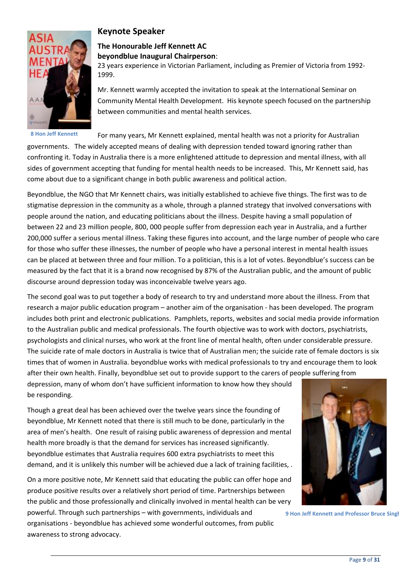

**8 Hon Jeff Kennett** 

## **Keynote Speaker**

## The Honourable Jeff Kennett AC

#### beyondblue Inaugural Chairperson:

23 years experience in Victorian Parliament, including as Premier of Victoria from 1992-1999.

Mr. Kennett warmly accepted the invitation to speak at the International Seminar on Community Mental Health Development. His keynote speech focused on the partnership between communities and mental health services.

For many years, Mr Kennett explained, mental health was not a priority for Australian

governments. The widely accepted means of dealing with depression tended toward ignoring rather than confronting it. Today in Australia there is a more enlightened attitude to depression and mental illness, with all sides of government accepting that funding for mental health needs to be increased. This, Mr Kennett said, has come about due to a significant change in both public awareness and political action.

Beyondblue, the NGO that Mr Kennett chairs, was initially established to achieve five things. The first was to de stigmatise depression in the community as a whole, through a planned strategy that involved conversations with people around the nation, and educating politicians about the illness. Despite having a small population of between 22 and 23 million people, 800, 000 people suffer from depression each year in Australia, and a further 200,000 suffer a serious mental illness. Taking these figures into account, and the large number of people who care for those who suffer these illnesses, the number of people who have a personal interest in mental health issues can be placed at between three and four million. To a politician, this is a lot of votes. Beyondblue's success can be measured by the fact that it is a brand now recognised by 87% of the Australian public, and the amount of public discourse around depression today was inconceivable twelve years ago.

The second goal was to put together a body of research to try and understand more about the illness. From that research a major public education program – another aim of the organisation - has been developed. The program includes both print and electronic publications. Pamphlets, reports, websites and social media provide information to the Australian public and medical professionals. The fourth objective was to work with doctors, psychiatrists, psychologists and clinical nurses, who work at the front line of mental health, often under considerable pressure. The suicide rate of male doctors in Australia is twice that of Australian men; the suicide rate of female doctors is six times that of women in Australia. beyondblue works with medical professionals to try and encourage them to look after their own health. Finally, beyondblue set out to provide support to the carers of people suffering from

depression, many of whom don't have sufficient information to know how they should be responding.

Though a great deal has been achieved over the twelve years since the founding of beyondblue, Mr Kennett noted that there is still much to be done, particularly in the area of men's health. One result of raising public awareness of depression and mental health more broadly is that the demand for services has increased significantly. beyondblue estimates that Australia requires 600 extra psychiatrists to meet this demand, and it is unlikely this number will be achieved due a lack of training facilities, .

On a more positive note, Mr Kennett said that educating the public can offer hope and produce positive results over a relatively short period of time. Partnerships between the public and those professionally and clinically involved in mental health can be very powerful. Through such partnerships - with governments, individuals and

organisations - beyondblue has achieved some wonderful outcomes, from public awareness to strong advocacy.



9 Hon Jeff Kennett and Professor Bruce Singl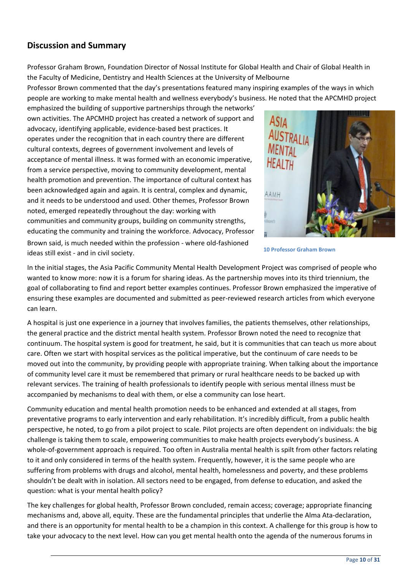## **Discussion and Summary**

Professor Graham Brown, Foundation Director of Nossal Institute for Global Health and Chair of Global Health in the Faculty of Medicine, Dentistry and Health Sciences at the University of Melbourne

Professor Brown commented that the day's presentations featured many inspiring examples of the ways in which people are working to make mental health and wellness everybody's business. He noted that the APCMHD project

emphasized the building of supportive partnerships through the networks' own activities. The APCMHD project has created a network of support and advocacy, identifying applicable, evidence-based best practices. It operates under the recognition that in each country there are different cultural contexts, degrees of government involvement and levels of acceptance of mental illness. It was formed with an economic imperative, from a service perspective, moving to community development, mental health promotion and prevention. The importance of cultural context has been acknowledged again and again. It is central, complex and dynamic, and it needs to be understood and used. Other themes, Professor Brown noted, emerged repeatedly throughout the day: working with communities and community groups, building on community strengths, educating the community and training the workforce. Advocacy, Professor Brown said, is much needed within the profession - where old-fashioned ideas still exist - and in civil society.



**10 Professor Graham Brown** 

In the initial stages, the Asia Pacific Community Mental Health Development Project was comprised of people who wanted to know more: now it is a forum for sharing ideas. As the partnership moves into its third triennium, the goal of collaborating to find and report better examples continues. Professor Brown emphasized the imperative of ensuring these examples are documented and submitted as peer-reviewed research articles from which everyone can learn.

A hospital is just one experience in a journey that involves families, the patients themselves, other relationships, the general practice and the district mental health system. Professor Brown noted the need to recognize that continuum. The hospital system is good for treatment, he said, but it is communities that can teach us more about care. Often we start with hospital services as the political imperative, but the continuum of care needs to be moved out into the community, by providing people with appropriate training. When talking about the importance of community level care it must be remembered that primary or rural healthcare needs to be backed up with relevant services. The training of health professionals to identify people with serious mental illness must be accompanied by mechanisms to deal with them, or else a community can lose heart.

Community education and mental health promotion needs to be enhanced and extended at all stages, from preventative programs to early intervention and early rehabilitation. It's incredibly difficult, from a public health perspective, he noted, to go from a pilot project to scale. Pilot projects are often dependent on individuals: the big challenge is taking them to scale, empowering communities to make health projects everybody's business. A whole-of-government approach is required. Too often in Australia mental health is spilt from other factors relating to it and only considered in terms of the health system. Frequently, however, it is the same people who are suffering from problems with drugs and alcohol, mental health, homelessness and poverty, and these problems shouldn't be dealt with in isolation. All sectors need to be engaged, from defense to education, and asked the question: what is your mental health policy?

The key challenges for global health, Professor Brown concluded, remain access; coverage; appropriate financing mechanisms and, above all, equity. These are the fundamental principles that underlie the Alma Ata-declaration, and there is an opportunity for mental health to be a champion in this context. A challenge for this group is how to take your advocacy to the next level. How can you get mental health onto the agenda of the numerous forums in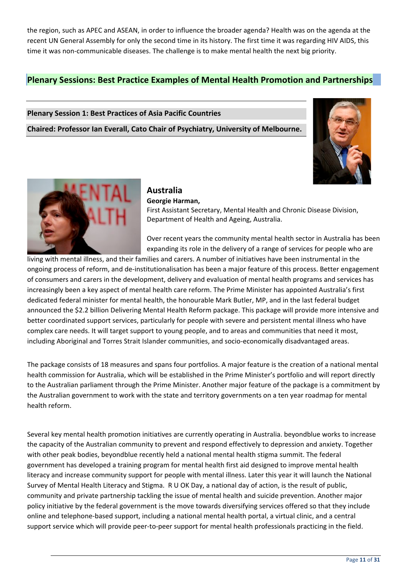the region, such as APEC and ASEAN, in order to influence the broader agenda? Health was on the agenda at the recent UN General Assembly for only the second time in its history. The first time it was regarding HIV AIDS, this time it was non-communicable diseases. The challenge is to make mental health the next big priority.

## **Plenary Sessions: Best Practice Examples of Mental Health Promotion and Partnerships**

#### **Plenary Session 1: Best Practices of Asia Pacific Countries**

Chaired: Professor Ian Everall, Cato Chair of Psychiatry, University of Melbourne.





#### **Australia** Georgie Harman,

First Assistant Secretary, Mental Health and Chronic Disease Division, Department of Health and Ageing, Australia.

Over recent years the community mental health sector in Australia has been expanding its role in the delivery of a range of services for people who are

living with mental illness, and their families and carers. A number of initiatives have been instrumental in the ongoing process of reform, and de-institutionalisation has been a major feature of this process. Better engagement of consumers and carers in the development, delivery and evaluation of mental health programs and services has increasingly been a key aspect of mental health care reform. The Prime Minister has appointed Australia's first dedicated federal minister for mental health, the honourable Mark Butler, MP, and in the last federal budget announced the \$2.2 billion Delivering Mental Health Reform package. This package will provide more intensive and better coordinated support services, particularly for people with severe and persistent mental illness who have complex care needs. It will target support to young people, and to areas and communities that need it most, including Aboriginal and Torres Strait Islander communities, and socio-economically disadvantaged areas.

The package consists of 18 measures and spans four portfolios. A major feature is the creation of a national mental health commission for Australia, which will be established in the Prime Minister's portfolio and will report directly to the Australian parliament through the Prime Minister. Another major feature of the package is a commitment by the Australian government to work with the state and territory governments on a ten year roadmap for mental health reform.

Several key mental health promotion initiatives are currently operating in Australia. beyondblue works to increase the capacity of the Australian community to prevent and respond effectively to depression and anxiety. Together with other peak bodies, beyondblue recently held a national mental health stigma summit. The federal government has developed a training program for mental health first aid designed to improve mental health literacy and increase community support for people with mental illness. Later this year it will launch the National Survey of Mental Health Literacy and Stigma. R U OK Day, a national day of action, is the result of public, community and private partnership tackling the issue of mental health and suicide prevention. Another major policy initiative by the federal government is the move towards diversifying services offered so that they include online and telephone-based support, including a national mental health portal, a virtual clinic, and a central support service which will provide peer-to-peer support for mental health professionals practicing in the field.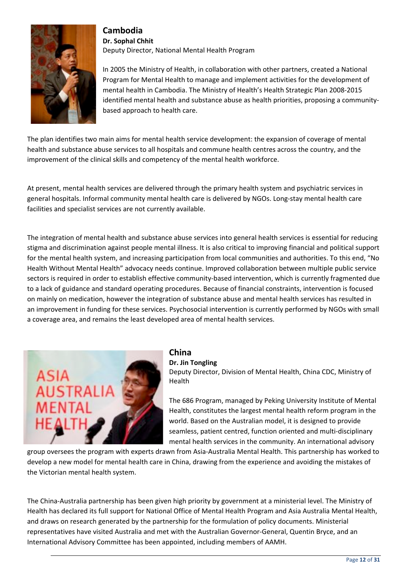

### **Cambodia**

Dr. Sophal Chhit Deputy Director, National Mental Health Program

In 2005 the Ministry of Health, in collaboration with other partners, created a National Program for Mental Health to manage and implement activities for the development of mental health in Cambodia. The Ministry of Health's Health Strategic Plan 2008-2015 identified mental health and substance abuse as health priorities, proposing a communitybased approach to health care.

The plan identifies two main aims for mental health service development: the expansion of coverage of mental health and substance abuse services to all hospitals and commune health centres across the country, and the improvement of the clinical skills and competency of the mental health workforce.

At present, mental health services are delivered through the primary health system and psychiatric services in general hospitals. Informal community mental health care is delivered by NGOs. Long-stay mental health care facilities and specialist services are not currently available.

The integration of mental health and substance abuse services into general health services is essential for reducing stigma and discrimination against people mental illness. It is also critical to improving financial and political support for the mental health system, and increasing participation from local communities and authorities. To this end, "No Health Without Mental Health" advocacy needs continue. Improved collaboration between multiple public service sectors is required in order to establish effective community-based intervention, which is currently fragmented due to a lack of guidance and standard operating procedures. Because of financial constraints, intervention is focused on mainly on medication, however the integration of substance abuse and mental health services has resulted in an improvement in funding for these services. Psychosocial intervention is currently performed by NGOs with small a coverage area, and remains the least developed area of mental health services.



### China

#### Dr. Jin Tongling

Deputy Director, Division of Mental Health, China CDC, Ministry of Health

The 686 Program, managed by Peking University Institute of Mental Health, constitutes the largest mental health reform program in the world. Based on the Australian model, it is designed to provide seamless, patient centred, function oriented and multi-disciplinary mental health services in the community. An international advisory

group oversees the program with experts drawn from Asia-Australia Mental Health. This partnership has worked to develop a new model for mental health care in China, drawing from the experience and avoiding the mistakes of the Victorian mental health system.

The China-Australia partnership has been given high priority by government at a ministerial level. The Ministry of Health has declared its full support for National Office of Mental Health Program and Asia Australia Mental Health, and draws on research generated by the partnership for the formulation of policy documents. Ministerial representatives have visited Australia and met with the Australian Governor-General, Quentin Bryce, and an International Advisory Committee has been appointed, including members of AAMH.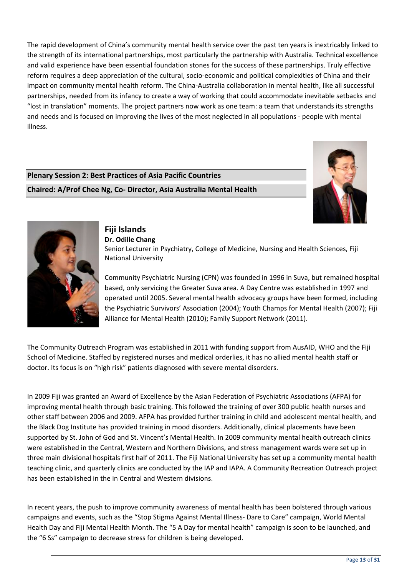The rapid development of China's community mental health service over the past ten years is inextricably linked to the strength of its international partnerships, most particularly the partnership with Australia. Technical excellence and valid experience have been essential foundation stones for the success of these partnerships. Truly effective reform requires a deep appreciation of the cultural, socio-economic and political complexities of China and their impact on community mental health reform. The China-Australia collaboration in mental health, like all successful partnerships, needed from its infancy to create a way of working that could accommodate inevitable setbacks and "lost in translation" moments. The project partners now work as one team: a team that understands its strengths and needs and is focused on improving the lives of the most neglected in all populations - people with mental illness.

## **Plenary Session 2: Best Practices of Asia Pacific Countries**

Chaired: A/Prof Chee Ng, Co- Director, Asia Australia Mental Health





#### Fiji Islands Dr. Odille Chang Senior Lecturer in Psychiatry, College of Medicine, Nursing and Health Sciences, Fiji **National University**

Community Psychiatric Nursing (CPN) was founded in 1996 in Suva, but remained hospital based, only servicing the Greater Suva area. A Day Centre was established in 1997 and operated until 2005. Several mental health advocacy groups have been formed, including the Psychiatric Survivors' Association (2004); Youth Champs for Mental Health (2007); Fiji

The Community Outreach Program was established in 2011 with funding support from AusAID, WHO and the Fiji School of Medicine. Staffed by registered nurses and medical orderlies, it has no allied mental health staff or doctor. Its focus is on "high risk" patients diagnosed with severe mental disorders.

In 2009 Fiji was granted an Award of Excellence by the Asian Federation of Psychiatric Associations (AFPA) for improving mental health through basic training. This followed the training of over 300 public health nurses and other staff between 2006 and 2009. AFPA has provided further training in child and adolescent mental health, and the Black Dog Institute has provided training in mood disorders. Additionally, clinical placements have been supported by St. John of God and St. Vincent's Mental Health. In 2009 community mental health outreach clinics were established in the Central, Western and Northern Divisions, and stress management wards were set up in three main divisional hospitals first half of 2011. The Fiji National University has set up a community mental health teaching clinic, and quarterly clinics are conducted by the IAP and IAPA. A Community Recreation Outreach project has been established in the in Central and Western divisions.

In recent years, the push to improve community awareness of mental health has been bolstered through various campaigns and events, such as the "Stop Stigma Against Mental Illness- Dare to Care" campaign, World Mental Health Day and Fiji Mental Health Month. The "5 A Day for mental health" campaign is soon to be launched, and the "6 Ss" campaign to decrease stress for children is being developed.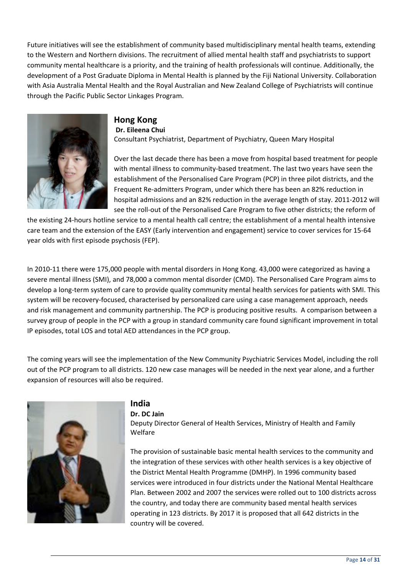Future initiatives will see the establishment of community based multidisciplinary mental health teams, extending to the Western and Northern divisions. The recruitment of allied mental health staff and psychiatrists to support community mental healthcare is a priority, and the training of health professionals will continue. Additionally, the development of a Post Graduate Diploma in Mental Health is planned by the Fiji National University. Collaboration with Asia Australia Mental Health and the Royal Australian and New Zealand College of Psychiatrists will continue through the Pacific Public Sector Linkages Program.



#### **Hong Kong** Dr. Eileena Chui Consultant Psychiatrist, Department of Psychiatry, Queen Mary Hospital

Over the last decade there has been a move from hospital based treatment for people with mental illness to community-based treatment. The last two years have seen the establishment of the Personalised Care Program (PCP) in three pilot districts, and the Frequent Re-admitters Program, under which there has been an 82% reduction in hospital admissions and an 82% reduction in the average length of stay. 2011-2012 will see the roll-out of the Personalised Care Program to five other districts; the reform of

the existing 24-hours hotline service to a mental health call centre; the establishment of a mental health intensive care team and the extension of the EASY (Early intervention and engagement) service to cover services for 15-64 year olds with first episode psychosis (FEP).

In 2010-11 there were 175,000 people with mental disorders in Hong Kong. 43,000 were categorized as having a severe mental illness (SMI), and 78,000 a common mental disorder (CMD). The Personalised Care Program aims to develop a long-term system of care to provide quality community mental health services for patients with SMI. This system will be recovery-focused, characterised by personalized care using a case management approach, needs and risk management and community partnership. The PCP is producing positive results. A comparison between a survey group of people in the PCP with a group in standard community care found significant improvement in total IP episodes, total LOS and total AED attendances in the PCP group.

The coming years will see the implementation of the New Community Psychiatric Services Model, including the roll out of the PCP program to all districts. 120 new case manages will be needed in the next year alone, and a further expansion of resources will also be required.



## **India**

Dr. DC Jain

Deputy Director General of Health Services, Ministry of Health and Family Welfare

The provision of sustainable basic mental health services to the community and the integration of these services with other health services is a key objective of the District Mental Health Programme (DMHP). In 1996 community based services were introduced in four districts under the National Mental Healthcare Plan. Between 2002 and 2007 the services were rolled out to 100 districts across the country, and today there are community based mental health services operating in 123 districts. By 2017 it is proposed that all 642 districts in the country will be covered.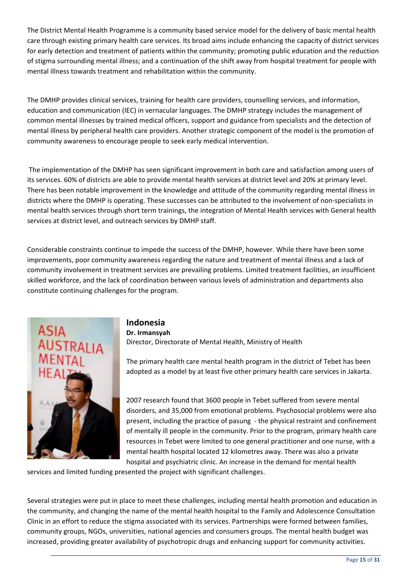The District Mental Health Programme is a community based service model for the delivery of basic mental health care through existing primary health care services. Its broad aims include enhancing the capacity of district services for early detection and treatment of patients within the community; promoting public education and the reduction of stigma surrounding mental illness; and a continuation of the shift away from hospital treatment for people with mental illness towards treatment and rehabilitation within the community.

The DMHP provides clinical services, training for health care providers, counselling services, and information, education and communication (IEC) in vernacular languages. The DMHP strategy includes the management of common mental illnesses by trained medical officers, support and guidance from specialists and the detection of mental illness by peripheral health care providers. Another strategic component of the model is the promotion of community awareness to encourage people to seek early medical intervention.

The implementation of the DMHP has seen significant improvement in both care and satisfaction among users of its services. 60% of districts are able to provide mental health services at district level and 20% at primary level. There has been notable improvement in the knowledge and attitude of the community regarding mental illness in districts where the DMHP is operating. These successes can be attributed to the involvement of non-specialists in mental health services through short term trainings, the integration of Mental Health services with General health services at district level, and outreach services by DMHP staff.

Considerable constraints continue to impede the success of the DMHP, however. While there have been some improvements, poor community awareness regarding the nature and treatment of mental illness and a lack of community involvement in treatment services are prevailing problems. Limited treatment facilities, an insufficient skilled workforce, and the lack of coordination between various levels of administration and departments also constitute continuing challenges for the program.



### Indonesia Dr. Irmansyah Director, Directorate of Mental Health, Ministry of Health

The primary health care mental health program in the district of Tebet has been adopted as a model by at least five other primary health care services in Jakarta.

2007 research found that 3600 people in Tebet suffered from severe mental disorders, and 35,000 from emotional problems. Psychosocial problems were also present, including the practice of pasung - the physical restraint and confinement of mentally ill people in the community. Prior to the program, primary health care resources in Tebet were limited to one general practitioner and one nurse, with a mental health hospital located 12 kilometres away. There was also a private hospital and psychiatric clinic. An increase in the demand for mental health

services and limited funding presented the project with significant challenges.

Several strategies were put in place to meet these challenges, including mental health promotion and education in the community, and changing the name of the mental health hospital to the Family and Adolescence Consultation Clinic in an effort to reduce the stigma associated with its services. Partnerships were formed between families, community groups, NGOs, universities, national agencies and consumers groups. The mental health budget was increased, providing greater availability of psychotropic drugs and enhancing support for community activities.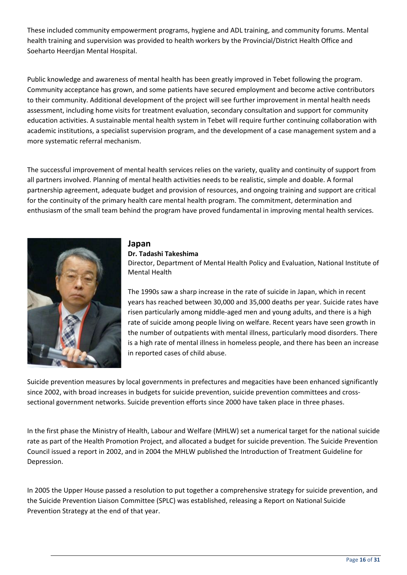These included community empowerment programs, hygiene and ADL training, and community forums. Mental health training and supervision was provided to health workers by the Provincial/District Health Office and Soeharto Heerdjan Mental Hospital.

Public knowledge and awareness of mental health has been greatly improved in Tebet following the program. Community acceptance has grown, and some patients have secured employment and become active contributors to their community. Additional development of the project will see further improvement in mental health needs assessment, including home visits for treatment evaluation, secondary consultation and support for community education activities. A sustainable mental health system in Tebet will require further continuing collaboration with academic institutions, a specialist supervision program, and the development of a case management system and a more systematic referral mechanism.

The successful improvement of mental health services relies on the variety, quality and continuity of support from all partners involved. Planning of mental health activities needs to be realistic, simple and doable. A formal partnership agreement, adequate budget and provision of resources, and ongoing training and support are critical for the continuity of the primary health care mental health program. The commitment, determination and enthusiasm of the small team behind the program have proved fundamental in improving mental health services.



#### Japan Dr. Tadashi Takeshima

Director, Department of Mental Health Policy and Evaluation, National Institute of **Mental Health** 

The 1990s saw a sharp increase in the rate of suicide in Japan, which in recent years has reached between 30,000 and 35,000 deaths per year. Suicide rates have risen particularly among middle-aged men and young adults, and there is a high rate of suicide among people living on welfare. Recent years have seen growth in the number of outpatients with mental illness, particularly mood disorders. There is a high rate of mental illness in homeless people, and there has been an increase in reported cases of child abuse.

Suicide prevention measures by local governments in prefectures and megacities have been enhanced significantly since 2002, with broad increases in budgets for suicide prevention, suicide prevention committees and crosssectional government networks. Suicide prevention efforts since 2000 have taken place in three phases.

In the first phase the Ministry of Health, Labour and Welfare (MHLW) set a numerical target for the national suicide rate as part of the Health Promotion Project, and allocated a budget for suicide prevention. The Suicide Prevention Council issued a report in 2002, and in 2004 the MHLW published the Introduction of Treatment Guideline for Depression.

In 2005 the Upper House passed a resolution to put together a comprehensive strategy for suicide prevention, and the Suicide Prevention Liaison Committee (SPLC) was established, releasing a Report on National Suicide Prevention Strategy at the end of that year.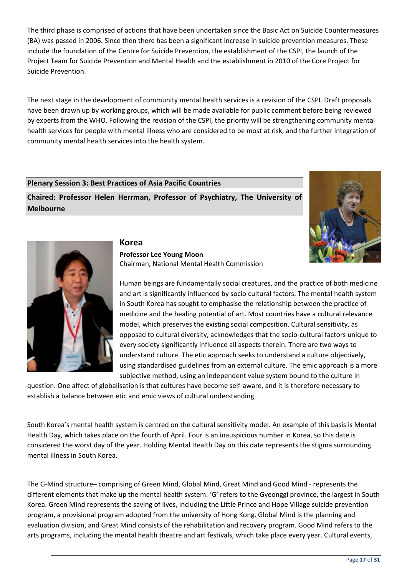The third phase is comprised of actions that have been undertaken since the Basic Act on Suicide Countermeasures (BA) was passed in 2006. Since then there has been a significant increase in suicide prevention measures. These include the foundation of the Centre for Suicide Prevention, the establishment of the CSPI, the launch of the Project Team for Suicide Prevention and Mental Health and the establishment in 2010 of the Core Project for Suicide Prevention.

The next stage in the development of community mental health services is a revision of the CSPI. Draft proposals have been drawn up by working groups, which will be made available for public comment before being reviewed by experts from the WHO. Following the revision of the CSPI, the priority will be strengthening community mental health services for people with mental illness who are considered to be most at risk, and the further integration of community mental health services into the health system.

#### **Plenary Session 3: Best Practices of Asia Pacific Countries**

Chaired: Professor Helen Herrman, Professor of Psychiatry, The University of **Melbourne** 





## **Professor Lee Young Moon** Chairman, National Mental Health Commission

Human beings are fundamentally social creatures, and the practice of both medicine and art is significantly influenced by socio cultural factors. The mental health system in South Korea has sought to emphasise the relationship between the practice of medicine and the healing potential of art. Most countries have a cultural relevance model, which preserves the existing social composition. Cultural sensitivity, as opposed to cultural diversity, acknowledges that the socio-cultural factors unique to every society significantly influence all aspects therein. There are two ways to understand culture. The etic approach seeks to understand a culture objectively, using standardised guidelines from an external culture. The emic approach is a more subjective method, using an independent value system bound to the culture in

question. One affect of globalisation is that cultures have become self-aware, and it is therefore necessary to establish a balance between etic and emic views of cultural understanding.

South Korea's mental health system is centred on the cultural sensitivity model. An example of this basis is Mental Health Day, which takes place on the fourth of April. Four is an inauspicious number in Korea, so this date is considered the worst day of the year. Holding Mental Health Day on this date represents the stigma surrounding mental illness in South Korea.

The G-Mind structure-comprising of Green Mind, Global Mind, Great Mind and Good Mind - represents the different elements that make up the mental health system. 'G' refers to the Gyeonggi province, the largest in South Korea. Green Mind represents the saving of lives, including the Little Prince and Hope Village suicide prevention program, a provisional program adopted from the university of Hong Kong. Global Mind is the planning and evaluation division, and Great Mind consists of the rehabilitation and recovery program. Good Mind refers to the arts programs, including the mental health theatre and art festivals, which take place every year. Cultural events,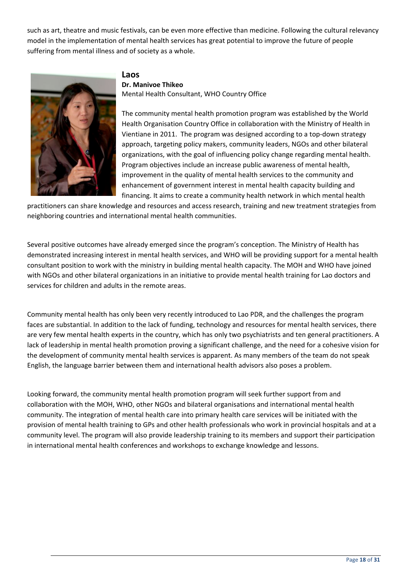such as art, theatre and music festivals, can be even more effective than medicine. Following the cultural relevancy model in the implementation of mental health services has great potential to improve the future of people suffering from mental illness and of society as a whole.



### Laos

#### Dr. Manivoe Thikeo

Mental Health Consultant, WHO Country Office

The community mental health promotion program was established by the World Health Organisation Country Office in collaboration with the Ministry of Health in Vientiane in 2011. The program was designed according to a top-down strategy approach, targeting policy makers, community leaders, NGOs and other bilateral organizations, with the goal of influencing policy change regarding mental health. Program objectives include an increase public awareness of mental health, improvement in the quality of mental health services to the community and enhancement of government interest in mental health capacity building and financing. It aims to create a community health network in which mental health

practitioners can share knowledge and resources and access research, training and new treatment strategies from neighboring countries and international mental health communities.

Several positive outcomes have already emerged since the program's conception. The Ministry of Health has demonstrated increasing interest in mental health services, and WHO will be providing support for a mental health consultant position to work with the ministry in building mental health capacity. The MOH and WHO have joined with NGOs and other bilateral organizations in an initiative to provide mental health training for Lao doctors and services for children and adults in the remote areas.

Community mental health has only been very recently introduced to Lao PDR, and the challenges the program faces are substantial. In addition to the lack of funding, technology and resources for mental health services, there are very few mental health experts in the country, which has only two psychiatrists and ten general practitioners. A lack of leadership in mental health promotion proving a significant challenge, and the need for a cohesive vision for the development of community mental health services is apparent. As many members of the team do not speak English, the language barrier between them and international health advisors also poses a problem.

Looking forward, the community mental health promotion program will seek further support from and collaboration with the MOH, WHO, other NGOs and bilateral organisations and international mental health community. The integration of mental health care into primary health care services will be initiated with the provision of mental health training to GPs and other health professionals who work in provincial hospitals and at a community level. The program will also provide leadership training to its members and support their participation in international mental health conferences and workshops to exchange knowledge and lessons.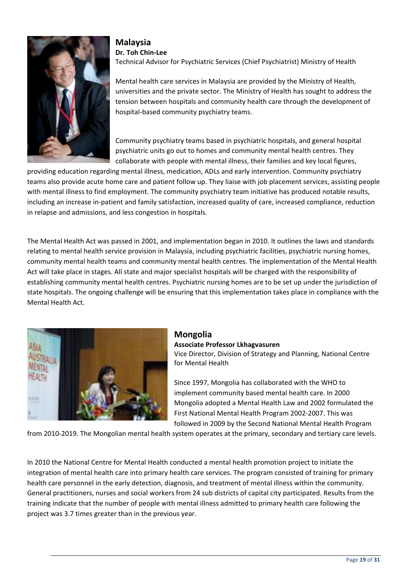

**Malaysia** Dr. Toh Chin-Lee Technical Advisor for Psychiatric Services (Chief Psychiatrist) Ministry of Health

Mental health care services in Malaysia are provided by the Ministry of Health, universities and the private sector. The Ministry of Health has sought to address the tension between hospitals and community health care through the development of hospital-based community psychiatry teams.

Community psychiatry teams based in psychiatric hospitals, and general hospital psychiatric units go out to homes and community mental health centres. They collaborate with people with mental illness, their families and key local figures.

providing education regarding mental illness, medication, ADLs and early intervention. Community psychiatry teams also provide acute home care and patient follow up. They liaise with job placement services, assisting people with mental illness to find employment. The community psychiatry team initiative has produced notable results. including an increase in-patient and family satisfaction, increased quality of care, increased compliance, reduction in relapse and admissions, and less congestion in hospitals.

The Mental Health Act was passed in 2001, and implementation began in 2010. It outlines the laws and standards relating to mental health service provision in Malaysia, including psychiatric facilities, psychiatric nursing homes, community mental health teams and community mental health centres. The implementation of the Mental Health Act will take place in stages. All state and major specialist hospitals will be charged with the responsibility of establishing community mental health centres. Psychiatric nursing homes are to be set up under the jurisdiction of state hospitals. The ongoing challenge will be ensuring that this implementation takes place in compliance with the Mental Health Act.



## **Mongolia**

#### Associate Professor Lkhagvasuren

Vice Director, Division of Strategy and Planning, National Centre for Mental Health

Since 1997, Mongolia has collaborated with the WHO to implement community based mental health care. In 2000 Mongolia adopted a Mental Health Law and 2002 formulated the First National Mental Health Program 2002-2007. This was followed in 2009 by the Second National Mental Health Program

from 2010-2019. The Mongolian mental health system operates at the primary, secondary and tertiary care levels.

In 2010 the National Centre for Mental Health conducted a mental health promotion project to initiate the integration of mental health care into primary health care services. The program consisted of training for primary health care personnel in the early detection, diagnosis, and treatment of mental illness within the community. General practitioners, nurses and social workers from 24 sub districts of capital city participated. Results from the training indicate that the number of people with mental illness admitted to primary health care following the project was 3.7 times greater than in the previous year.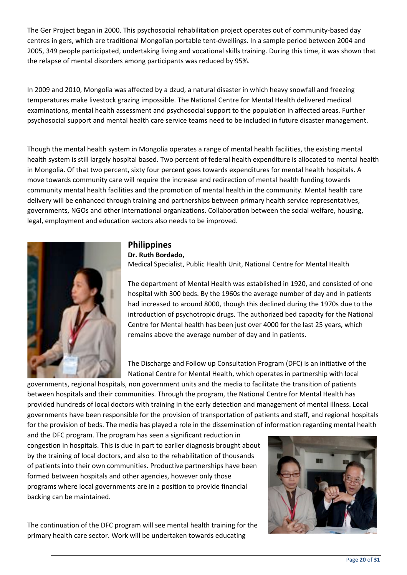The Ger Project began in 2000. This psychosocial rehabilitation project operates out of community-based day centres in gers, which are traditional Mongolian portable tent-dwellings. In a sample period between 2004 and 2005, 349 people participated, undertaking living and vocational skills training. During this time, it was shown that the relapse of mental disorders among participants was reduced by 95%.

In 2009 and 2010, Mongolia was affected by a dzud, a natural disaster in which heavy snowfall and freezing temperatures make livestock grazing impossible. The National Centre for Mental Health delivered medical examinations, mental health assessment and psychosocial support to the population in affected areas. Further psychosocial support and mental health care service teams need to be included in future disaster management.

Though the mental health system in Mongolia operates a range of mental health facilities, the existing mental health system is still largely hospital based. Two percent of federal health expenditure is allocated to mental health in Mongolia. Of that two percent, sixty four percent goes towards expenditures for mental health hospitals. A move towards community care will require the increase and redirection of mental health funding towards community mental health facilities and the promotion of mental health in the community. Mental health care delivery will be enhanced through training and partnerships between primary health service representatives, governments, NGOs and other international organizations. Collaboration between the social welfare, housing, legal, employment and education sectors also needs to be improved.



## **Philippines**

Dr. Ruth Bordado,

Medical Specialist, Public Health Unit, National Centre for Mental Health

The department of Mental Health was established in 1920, and consisted of one hospital with 300 beds. By the 1960s the average number of day and in patients had increased to around 8000, though this declined during the 1970s due to the introduction of psychotropic drugs. The authorized bed capacity for the National Centre for Mental health has been just over 4000 for the last 25 years, which remains above the average number of day and in patients.

The Discharge and Follow up Consultation Program (DFC) is an initiative of the National Centre for Mental Health, which operates in partnership with local

governments, regional hospitals, non government units and the media to facilitate the transition of patients between hospitals and their communities. Through the program, the National Centre for Mental Health has provided hundreds of local doctors with training in the early detection and management of mental illness. Local governments have been responsible for the provision of transportation of patients and staff, and regional hospitals for the provision of beds. The media has played a role in the dissemination of information regarding mental health

and the DFC program. The program has seen a significant reduction in congestion in hospitals. This is due in part to earlier diagnosis brought about by the training of local doctors, and also to the rehabilitation of thousands of patients into their own communities. Productive partnerships have been formed between hospitals and other agencies, however only those programs where local governments are in a position to provide financial backing can be maintained.

The continuation of the DFC program will see mental health training for the primary health care sector. Work will be undertaken towards educating

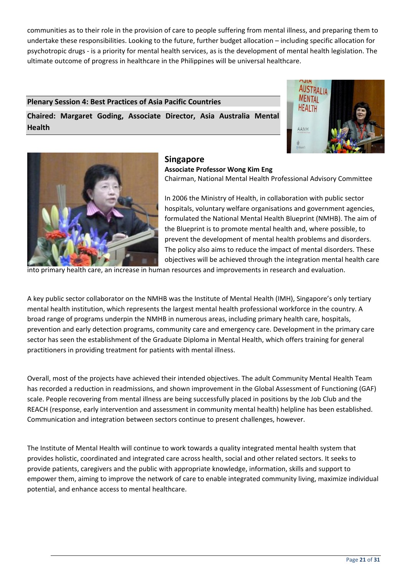communities as to their role in the provision of care to people suffering from mental illness, and preparing them to undertake these responsibilities. Looking to the future, further budget allocation - including specific allocation for psychotropic drugs - is a priority for mental health services, as is the development of mental health legislation. The ultimate outcome of progress in healthcare in the Philippines will be universal healthcare.

#### **Plenary Session 4: Best Practices of Asia Pacific Countries**

Chaired: Margaret Goding, Associate Director, Asia Australia Mental **Health** 





#### **Singapore**

**Associate Professor Wong Kim Eng** Chairman, National Mental Health Professional Advisory Committee

In 2006 the Ministry of Health, in collaboration with public sector hospitals, voluntary welfare organisations and government agencies, formulated the National Mental Health Blueprint (NMHB). The aim of the Blueprint is to promote mental health and, where possible, to prevent the development of mental health problems and disorders. The policy also aims to reduce the impact of mental disorders. These objectives will be achieved through the integration mental health care

into primary health care, an increase in human resources and improvements in research and evaluation.

A key public sector collaborator on the NMHB was the Institute of Mental Health (IMH), Singapore's only tertiary mental health institution, which represents the largest mental health professional workforce in the country. A broad range of programs underpin the NMHB in numerous areas, including primary health care, hospitals, prevention and early detection programs, community care and emergency care. Development in the primary care sector has seen the establishment of the Graduate Diploma in Mental Health, which offers training for general practitioners in providing treatment for patients with mental illness.

Overall, most of the projects have achieved their intended objectives. The adult Community Mental Health Team has recorded a reduction in readmissions, and shown improvement in the Global Assessment of Functioning (GAF) scale. People recovering from mental illness are being successfully placed in positions by the Job Club and the REACH (response, early intervention and assessment in community mental health) helpline has been established. Communication and integration between sectors continue to present challenges, however.

The Institute of Mental Health will continue to work towards a quality integrated mental health system that provides holistic, coordinated and integrated care across health, social and other related sectors. It seeks to provide patients, caregivers and the public with appropriate knowledge, information, skills and support to empower them, aiming to improve the network of care to enable integrated community living, maximize individual potential, and enhance access to mental healthcare.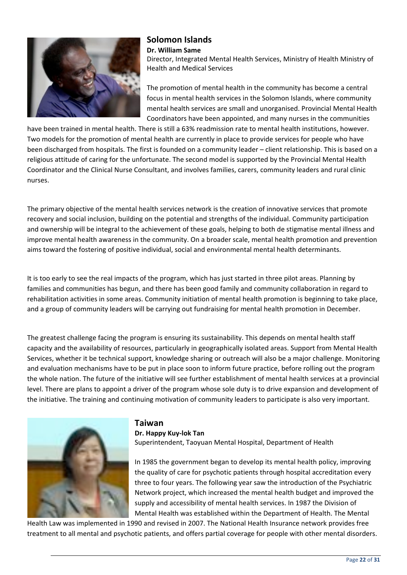

## **Solomon Islands** Dr. William Same

Director, Integrated Mental Health Services, Ministry of Health Ministry of **Health and Medical Services** 

The promotion of mental health in the community has become a central focus in mental health services in the Solomon Islands, where community mental health services are small and unorganised. Provincial Mental Health Coordinators have been appointed, and many nurses in the communities

have been trained in mental health. There is still a 63% readmission rate to mental health institutions, however. Two models for the promotion of mental health are currently in place to provide services for people who have been discharged from hospitals. The first is founded on a community leader – client relationship. This is based on a religious attitude of caring for the unfortunate. The second model is supported by the Provincial Mental Health Coordinator and the Clinical Nurse Consultant, and involves families, carers, community leaders and rural clinic nurses.

The primary objective of the mental health services network is the creation of innovative services that promote recovery and social inclusion, building on the potential and strengths of the individual. Community participation and ownership will be integral to the achievement of these goals, helping to both de stigmatise mental illness and improve mental health awareness in the community. On a broader scale, mental health promotion and prevention aims toward the fostering of positive individual, social and environmental mental health determinants.

It is too early to see the real impacts of the program, which has just started in three pilot areas. Planning by families and communities has begun, and there has been good family and community collaboration in regard to rehabilitation activities in some areas. Community initiation of mental health promotion is beginning to take place, and a group of community leaders will be carrying out fundraising for mental health promotion in December.

The greatest challenge facing the program is ensuring its sustainability. This depends on mental health staff capacity and the availability of resources, particularly in geographically isolated areas. Support from Mental Health Services, whether it be technical support, knowledge sharing or outreach will also be a major challenge. Monitoring and evaluation mechanisms have to be put in place soon to inform future practice, before rolling out the program the whole nation. The future of the initiative will see further establishment of mental health services at a provincial level. There are plans to appoint a driver of the program whose sole duty is to drive expansion and development of the initiative. The training and continuing motivation of community leaders to participate is also very important.



### **Taiwan**

Dr. Happy Kuy-lok Tan Superintendent, Taoyuan Mental Hospital, Department of Health

In 1985 the government began to develop its mental health policy, improving the quality of care for psychotic patients through hospital accreditation every three to four years. The following year saw the introduction of the Psychiatric Network project, which increased the mental health budget and improved the supply and accessibility of mental health services. In 1987 the Division of Mental Health was established within the Department of Health. The Mental

Health Law was implemented in 1990 and revised in 2007. The National Health Insurance network provides free treatment to all mental and psychotic patients, and offers partial coverage for people with other mental disorders.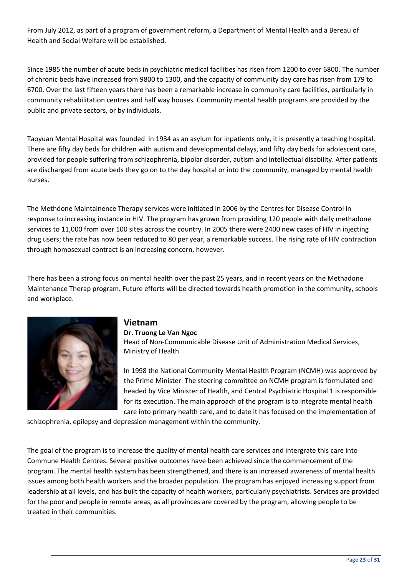From July 2012, as part of a program of government reform, a Department of Mental Health and a Bereau of Health and Social Welfare will be established.

Since 1985 the number of acute beds in psychiatric medical facilities has risen from 1200 to over 6800. The number of chronic beds have increased from 9800 to 1300, and the capacity of community day care has risen from 179 to 6700. Over the last fifteen years there has been a remarkable increase in community care facilities, particularly in community rehabilitation centres and half way houses. Community mental health programs are provided by the public and private sectors, or by individuals.

Taoyuan Mental Hospital was founded in 1934 as an asylum for inpatients only, it is presently a teaching hospital. There are fifty day beds for children with autism and developmental delays, and fifty day beds for adolescent care, provided for people suffering from schizophrenia, bipolar disorder, autism and intellectual disability. After patients are discharged from acute beds they go on to the day hospital or into the community, managed by mental health nurses.

The Methdone Maintainence Therapy services were initiated in 2006 by the Centres for Disease Control in response to increasing instance in HIV. The program has grown from providing 120 people with daily methadone services to 11,000 from over 100 sites across the country. In 2005 there were 2400 new cases of HIV in injecting drug users; the rate has now been reduced to 80 per year, a remarkable success. The rising rate of HIV contraction through homosexual contract is an increasing concern, however.

There has been a strong focus on mental health over the past 25 years, and in recent years on the Methadone Maintenance Therap program. Future efforts will be directed towards health promotion in the community, schools and workplace.



## **Vietnam**

### Dr. Truong Le Van Ngoc

Head of Non-Communicable Disease Unit of Administration Medical Services, Ministry of Health

In 1998 the National Community Mental Health Program (NCMH) was approved by the Prime Minister. The steering committee on NCMH program is formulated and headed by Vice Minister of Health, and Central Psychiatric Hospital 1 is responsible for its execution. The main approach of the program is to integrate mental health care into primary health care, and to date it has focused on the implementation of

schizophrenia, epilepsy and depression management within the community.

The goal of the program is to increase the quality of mental health care services and intergrate this care into Commune Health Centres. Several positive outcomes have been achieved since the commencement of the program. The mental health system has been strengthened, and there is an increased awareness of mental health issues among both health workers and the broader population. The program has enjoyed increasing support from leadership at all levels, and has built the capacity of health workers, particularly psychiatrists. Services are provided for the poor and people in remote areas, as all provinces are covered by the program, allowing people to be treated in their communities.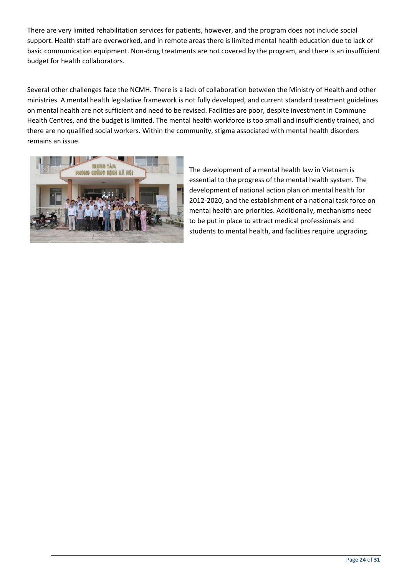There are very limited rehabilitation services for patients, however, and the program does not include social support. Health staff are overworked, and in remote areas there is limited mental health education due to lack of basic communication equipment. Non-drug treatments are not covered by the program, and there is an insufficient budget for health collaborators.

Several other challenges face the NCMH. There is a lack of collaboration between the Ministry of Health and other ministries. A mental health legislative framework is not fully developed, and current standard treatment guidelines on mental health are not sufficient and need to be revised. Facilities are poor, despite investment in Commune Health Centres, and the budget is limited. The mental health workforce is too small and insufficiently trained, and there are no qualified social workers. Within the community, stigma associated with mental health disorders remains an issue.



The development of a mental health law in Vietnam is essential to the progress of the mental health system. The development of national action plan on mental health for 2012-2020, and the establishment of a national task force on mental health are priorities. Additionally, mechanisms need to be put in place to attract medical professionals and students to mental health, and facilities require upgrading.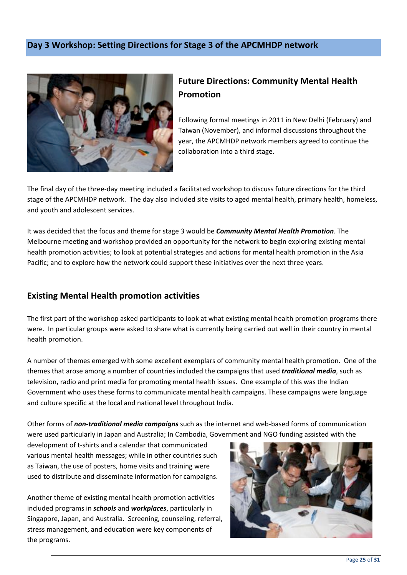## Day 3 Workshop: Setting Directions for Stage 3 of the APCMHDP network



## **Future Directions: Community Mental Health Promotion**

Following formal meetings in 2011 in New Delhi (February) and Taiwan (November), and informal discussions throughout the year, the APCMHDP network members agreed to continue the collaboration into a third stage.

The final day of the three-day meeting included a facilitated workshop to discuss future directions for the third stage of the APCMHDP network. The day also included site visits to aged mental health, primary health, homeless, and youth and adolescent services.

It was decided that the focus and theme for stage 3 would be *Community Mental Health Promotion*. The Melbourne meeting and workshop provided an opportunity for the network to begin exploring existing mental health promotion activities; to look at potential strategies and actions for mental health promotion in the Asia Pacific; and to explore how the network could support these initiatives over the next three years.

## **Existing Mental Health promotion activities**

The first part of the workshop asked participants to look at what existing mental health promotion programs there were. In particular groups were asked to share what is currently being carried out well in their country in mental health promotion.

A number of themes emerged with some excellent exemplars of community mental health promotion. One of the themes that arose among a number of countries included the campaigns that used *traditional media*, such as television, radio and print media for promoting mental health issues. One example of this was the Indian Government who uses these forms to communicate mental health campaigns. These campaigns were language and culture specific at the local and national level throughout India.

Other forms of non-traditional media campaigns such as the internet and web-based forms of communication were used particularly in Japan and Australia; In Cambodia, Government and NGO funding assisted with the

development of t-shirts and a calendar that communicated various mental health messages; while in other countries such as Taiwan, the use of posters, home visits and training were used to distribute and disseminate information for campaigns.

Another theme of existing mental health promotion activities included programs in schools and workplaces, particularly in Singapore, Japan, and Australia. Screening, counseling, referral, stress management, and education were key components of the programs.

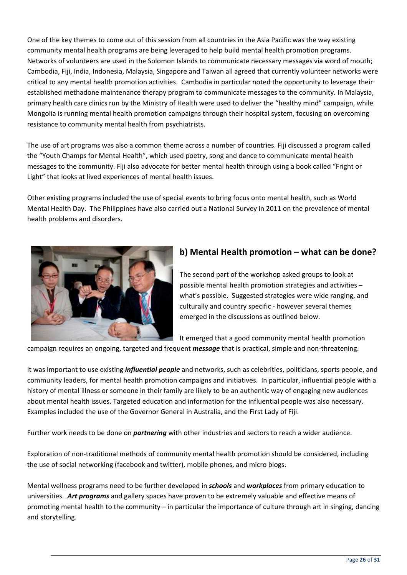One of the key themes to come out of this session from all countries in the Asia Pacific was the way existing community mental health programs are being leveraged to help build mental health promotion programs. Networks of volunteers are used in the Solomon Islands to communicate necessary messages via word of mouth; Cambodia, Fiji, India, Indonesia, Malaysia, Singapore and Taiwan all agreed that currently volunteer networks were critical to any mental health promotion activities. Cambodia in particular noted the opportunity to leverage their established methadone maintenance therapy program to communicate messages to the community. In Malaysia, primary health care clinics run by the Ministry of Health were used to deliver the "healthy mind" campaign, while Mongolia is running mental health promotion campaigns through their hospital system, focusing on overcoming resistance to community mental health from psychiatrists.

The use of art programs was also a common theme across a number of countries. Fiji discussed a program called the "Youth Champs for Mental Health", which used poetry, song and dance to communicate mental health messages to the community. Fiji also advocate for better mental health through using a book called "Fright or Light" that looks at lived experiences of mental health issues.

Other existing programs included the use of special events to bring focus onto mental health, such as World Mental Health Day. The Philippines have also carried out a National Survey in 2011 on the prevalence of mental health problems and disorders.



## b) Mental Health promotion - what can be done?

The second part of the workshop asked groups to look at possible mental health promotion strategies and activities what's possible. Suggested strategies were wide ranging, and culturally and country specific - however several themes emerged in the discussions as outlined below.

It emerged that a good community mental health promotion

campaign requires an ongoing, targeted and frequent *message* that is practical, simple and non-threatening.

It was important to use existing *influential people* and networks, such as celebrities, politicians, sports people, and community leaders, for mental health promotion campaigns and initiatives. In particular, influential people with a history of mental illness or someone in their family are likely to be an authentic way of engaging new audiences about mental health issues. Targeted education and information for the influential people was also necessary. Examples included the use of the Governor General in Australia, and the First Lady of Fiji.

Further work needs to be done on *partnering* with other industries and sectors to reach a wider audience.

Exploration of non-traditional methods of community mental health promotion should be considered, including the use of social networking (facebook and twitter), mobile phones, and micro blogs.

Mental wellness programs need to be further developed in *schools* and workplaces from primary education to universities. Art programs and gallery spaces have proven to be extremely valuable and effective means of promoting mental health to the community – in particular the importance of culture through art in singing, dancing and storytelling.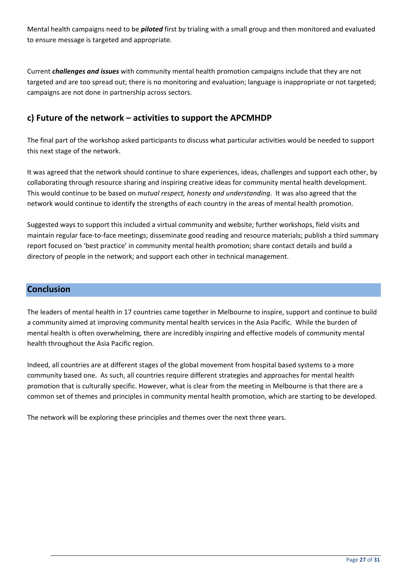Mental health campaigns need to be *piloted* first by trialing with a small group and then monitored and evaluated to ensure message is targeted and appropriate.

Current *challenges and issues* with community mental health promotion campaigns include that they are not targeted and are too spread out; there is no monitoring and evaluation; language is inappropriate or not targeted; campaigns are not done in partnership across sectors.

## c) Future of the network - activities to support the APCMHDP

The final part of the workshop asked participants to discuss what particular activities would be needed to support this next stage of the network.

It was agreed that the network should continue to share experiences, ideas, challenges and support each other, by collaborating through resource sharing and inspiring creative ideas for community mental health development. This would continue to be based on mutual respect, honesty and understanding. It was also agreed that the network would continue to identify the strengths of each country in the areas of mental health promotion.

Suggested ways to support this included a virtual community and website; further workshops, field visits and maintain regular face-to-face meetings; disseminate good reading and resource materials; publish a third summary report focused on 'best practice' in community mental health promotion; share contact details and build a directory of people in the network; and support each other in technical management.

## **Conclusion**

The leaders of mental health in 17 countries came together in Melbourne to inspire, support and continue to build a community aimed at improving community mental health services in the Asia Pacific. While the burden of mental health is often overwhelming, there are incredibly inspiring and effective models of community mental health throughout the Asia Pacific region.

Indeed, all countries are at different stages of the global movement from hospital based systems to a more community based one. As such, all countries require different strategies and approaches for mental health promotion that is culturally specific. However, what is clear from the meeting in Melbourne is that there are a common set of themes and principles in community mental health promotion, which are starting to be developed.

The network will be exploring these principles and themes over the next three years.